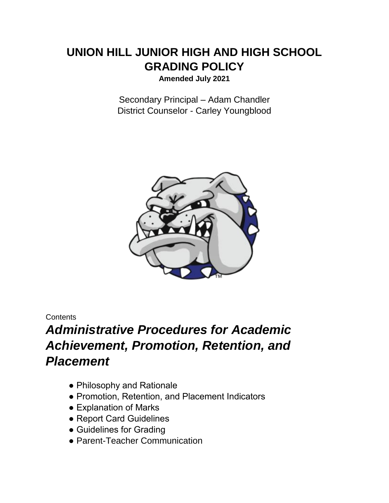# **UNION HILL JUNIOR HIGH AND HIGH SCHOOL GRADING POLICY**

**Amended July 2021**

Secondary Principal – Adam Chandler District Counselor - Carley Youngblood



## **Contents**

# *Administrative Procedures for Academic Achievement, Promotion, Retention, and Placement*

- Philosophy and Rationale
- Promotion, Retention, and Placement Indicators
- Explanation of Marks
- Report Card Guidelines
- Guidelines for Grading
- Parent-Teacher Communication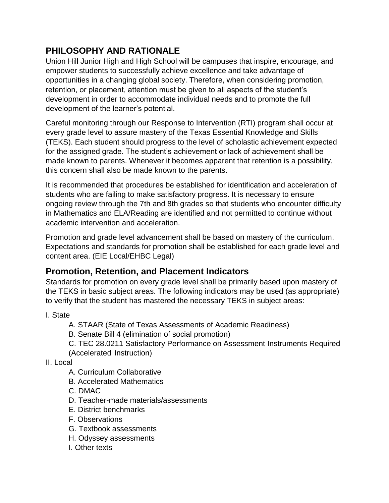# **PHILOSOPHY AND RATIONALE**

Union Hill Junior High and High School will be campuses that inspire, encourage, and empower students to successfully achieve excellence and take advantage of opportunities in a changing global society. Therefore, when considering promotion, retention, or placement, attention must be given to all aspects of the student's development in order to accommodate individual needs and to promote the full development of the learner's potential.

Careful monitoring through our Response to Intervention (RTI) program shall occur at every grade level to assure mastery of the Texas Essential Knowledge and Skills (TEKS). Each student should progress to the level of scholastic achievement expected for the assigned grade. The student's achievement or lack of achievement shall be made known to parents. Whenever it becomes apparent that retention is a possibility, this concern shall also be made known to the parents.

It is recommended that procedures be established for identification and acceleration of students who are failing to make satisfactory progress. It is necessary to ensure ongoing review through the 7th and 8th grades so that students who encounter difficulty in Mathematics and ELA/Reading are identified and not permitted to continue without academic intervention and acceleration.

Promotion and grade level advancement shall be based on mastery of the curriculum. Expectations and standards for promotion shall be established for each grade level and content area. (EIE Local/EHBC Legal)

# **Promotion, Retention, and Placement Indicators**

Standards for promotion on every grade level shall be primarily based upon mastery of the TEKS in basic subject areas. The following indicators may be used (as appropriate) to verify that the student has mastered the necessary TEKS in subject areas:

I. State

- A. STAAR (State of Texas Assessments of Academic Readiness)
- B. Senate Bill 4 (elimination of social promotion)
- C. TEC 28.0211 Satisfactory Performance on Assessment Instruments Required (Accelerated Instruction)

II. Local

- A. Curriculum Collaborative
- B. Accelerated Mathematics
- C. DMAC
- D. Teacher-made materials/assessments
- E. District benchmarks
- F. Observations
- G. Textbook assessments
- H. Odyssey assessments
- I. Other texts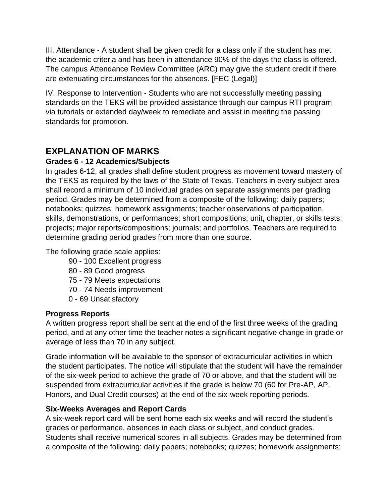III. Attendance - A student shall be given credit for a class only if the student has met the academic criteria and has been in attendance 90% of the days the class is offered. The campus Attendance Review Committee (ARC) may give the student credit if there are extenuating circumstances for the absences. [FEC (Legal)]

IV. Response to Intervention - Students who are not successfully meeting passing standards on the TEKS will be provided assistance through our campus RTI program via tutorials or extended day/week to remediate and assist in meeting the passing standards for promotion.

# **EXPLANATION OF MARKS**

## **Grades 6 - 12 Academics/Subjects**

In grades 6-12, all grades shall define student progress as movement toward mastery of the TEKS as required by the laws of the State of Texas. Teachers in every subject area shall record a minimum of 10 individual grades on separate assignments per grading period. Grades may be determined from a composite of the following: daily papers; notebooks; quizzes; homework assignments; teacher observations of participation, skills, demonstrations, or performances; short compositions; unit, chapter, or skills tests; projects; major reports/compositions; journals; and portfolios. Teachers are required to determine grading period grades from more than one source.

The following grade scale applies:

- 90 100 Excellent progress
- 80 89 Good progress
- 75 79 Meets expectations
- 70 74 Needs improvement
- 0 69 Unsatisfactory

## **Progress Reports**

A written progress report shall be sent at the end of the first three weeks of the grading period, and at any other time the teacher notes a significant negative change in grade or average of less than 70 in any subject.

Grade information will be available to the sponsor of extracurricular activities in which the student participates. The notice will stipulate that the student will have the remainder of the six-week period to achieve the grade of 70 or above, and that the student will be suspended from extracurricular activities if the grade is below 70 (60 for Pre-AP, AP, Honors, and Dual Credit courses) at the end of the six-week reporting periods.

## **Six-Weeks Averages and Report Cards**

A six-week report card will be sent home each six weeks and will record the student's grades or performance, absences in each class or subject, and conduct grades. Students shall receive numerical scores in all subjects. Grades may be determined from a composite of the following: daily papers; notebooks; quizzes; homework assignments;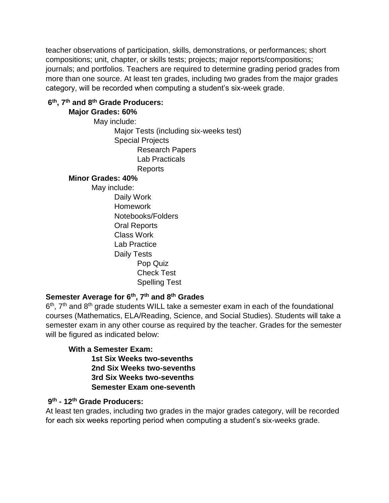teacher observations of participation, skills, demonstrations, or performances; short compositions; unit, chapter, or skills tests; projects; major reports/compositions; journals; and portfolios. Teachers are required to determine grading period grades from more than one source. At least ten grades, including two grades from the major grades category, will be recorded when computing a student's six-week grade.

## **6 th, 7th and 8th Grade Producers:**

#### **Major Grades: 60%**

May include: Major Tests (including six-weeks test) Special Projects Research Papers Lab Practicals Reports

#### **Minor Grades: 40%**

May include:

Daily Work Homework Notebooks/Folders Oral Reports Class Work Lab Practice Daily Tests Pop Quiz Check Test Spelling Test

# **Semester Average for 6th, 7th and 8th Grades**

6<sup>th</sup>, 7<sup>th</sup> and 8<sup>th</sup> grade students WILL take a semester exam in each of the foundational courses (Mathematics, ELA/Reading, Science, and Social Studies). Students will take a semester exam in any other course as required by the teacher. Grades for the semester will be figured as indicated below:

#### **With a Semester Exam:**

**1st Six Weeks two-sevenths 2nd Six Weeks two-sevenths 3rd Six Weeks two-sevenths Semester Exam one-seventh** 

## **9 th - 12th Grade Producers:**

At least ten grades, including two grades in the major grades category, will be recorded for each six weeks reporting period when computing a student's six-weeks grade.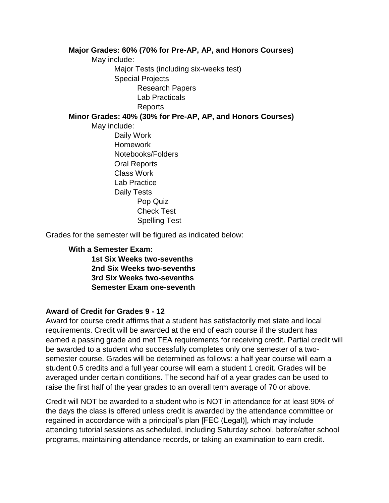#### **Major Grades: 60% (70% for Pre-AP, AP, and Honors Courses)**

May include: Major Tests (including six-weeks test) Special Projects Research Papers Lab Practicals Reports

#### **Minor Grades: 40% (30% for Pre-AP, AP, and Honors Courses)**

May include:

Daily Work Homework Notebooks/Folders Oral Reports Class Work Lab Practice Daily Tests Pop Quiz Check Test Spelling Test

Grades for the semester will be figured as indicated below:

#### **With a Semester Exam:**

**1st Six Weeks two-sevenths 2nd Six Weeks two-sevenths 3rd Six Weeks two-sevenths Semester Exam one-seventh**

#### **Award of Credit for Grades 9 - 12**

Award for course credit affirms that a student has satisfactorily met state and local requirements. Credit will be awarded at the end of each course if the student has earned a passing grade and met TEA requirements for receiving credit. Partial credit will be awarded to a student who successfully completes only one semester of a twosemester course. Grades will be determined as follows: a half year course will earn a student 0.5 credits and a full year course will earn a student 1 credit. Grades will be averaged under certain conditions. The second half of a year grades can be used to raise the first half of the year grades to an overall term average of 70 or above.

Credit will NOT be awarded to a student who is NOT in attendance for at least 90% of the days the class is offered unless credit is awarded by the attendance committee or regained in accordance with a principal's plan [FEC (Legal)], which may include attending tutorial sessions as scheduled, including Saturday school, before/after school programs, maintaining attendance records, or taking an examination to earn credit.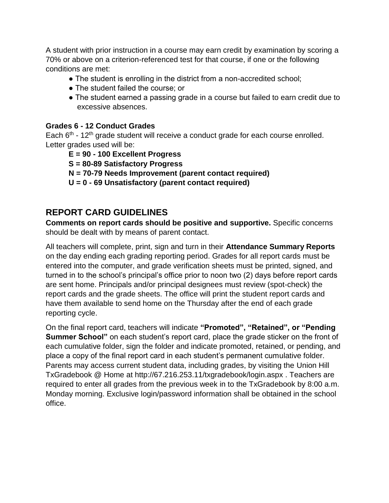A student with prior instruction in a course may earn credit by examination by scoring a 70% or above on a criterion-referenced test for that course, if one or the following conditions are met:

- The student is enrolling in the district from a non-accredited school;
- The student failed the course; or
- The student earned a passing grade in a course but failed to earn credit due to excessive absences.

#### **Grades 6 - 12 Conduct Grades**

Each  $6<sup>th</sup>$  - 12<sup>th</sup> grade student will receive a conduct grade for each course enrolled. Letter grades used will be:

- **E = 90 - 100 Excellent Progress**
- **S = 80-89 Satisfactory Progress**
- **N = 70-79 Needs Improvement (parent contact required)**
- **U = 0 - 69 Unsatisfactory (parent contact required)**

# **REPORT CARD GUIDELINES**

**Comments on report cards should be positive and supportive.** Specific concerns should be dealt with by means of parent contact.

All teachers will complete, print, sign and turn in their **Attendance Summary Reports** on the day ending each grading reporting period. Grades for all report cards must be entered into the computer, and grade verification sheets must be printed, signed, and turned in to the school's principal's office prior to noon two (2) days before report cards are sent home. Principals and/or principal designees must review (spot-check) the report cards and the grade sheets. The office will print the student report cards and have them available to send home on the Thursday after the end of each grade reporting cycle.

On the final report card, teachers will indicate **"Promoted", "Retained", or "Pending Summer School**" on each student's report card, place the grade sticker on the front of each cumulative folder, sign the folder and indicate promoted, retained, or pending, and place a copy of the final report card in each student's permanent cumulative folder. Parents may access current student data, including grades, by visiting the Union Hill TxGradebook @ Home at http://67.216.253.11/txgradebook/login.aspx . Teachers are required to enter all grades from the previous week in to the TxGradebook by 8:00 a.m. Monday morning. Exclusive login/password information shall be obtained in the school office.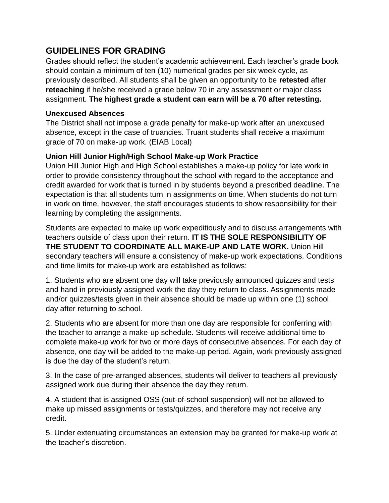# **GUIDELINES FOR GRADING**

Grades should reflect the student's academic achievement. Each teacher's grade book should contain a minimum of ten (10) numerical grades per six week cycle, as previously described. All students shall be given an opportunity to be **retested** after **reteaching** if he/she received a grade below 70 in any assessment or major class assignment. **The highest grade a student can earn will be a 70 after retesting.**

### **Unexcused Absences**

The District shall not impose a grade penalty for make-up work after an unexcused absence, except in the case of truancies. Truant students shall receive a maximum grade of 70 on make-up work. (EIAB Local)

### **Union Hill Junior High/High School Make-up Work Practice**

Union Hill Junior High and High School establishes a make-up policy for late work in order to provide consistency throughout the school with regard to the acceptance and credit awarded for work that is turned in by students beyond a prescribed deadline. The expectation is that all students turn in assignments on time. When students do not turn in work on time, however, the staff encourages students to show responsibility for their learning by completing the assignments.

Students are expected to make up work expeditiously and to discuss arrangements with teachers outside of class upon their return. **IT IS THE SOLE RESPONSIBILITY OF THE STUDENT TO COORDINATE ALL MAKE-UP AND LATE WORK.** Union Hill secondary teachers will ensure a consistency of make-up work expectations. Conditions and time limits for make-up work are established as follows:

1. Students who are absent one day will take previously announced quizzes and tests and hand in previously assigned work the day they return to class. Assignments made and/or quizzes/tests given in their absence should be made up within one (1) school day after returning to school.

2. Students who are absent for more than one day are responsible for conferring with the teacher to arrange a make-up schedule. Students will receive additional time to complete make-up work for two or more days of consecutive absences. For each day of absence, one day will be added to the make-up period. Again, work previously assigned is due the day of the student's return.

3. In the case of pre-arranged absences, students will deliver to teachers all previously assigned work due during their absence the day they return.

4. A student that is assigned OSS (out-of-school suspension) will not be allowed to make up missed assignments or tests/quizzes, and therefore may not receive any credit.

5. Under extenuating circumstances an extension may be granted for make-up work at the teacher's discretion.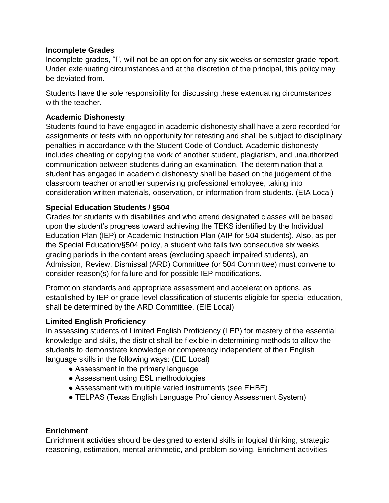#### **Incomplete Grades**

Incomplete grades, "I", will not be an option for any six weeks or semester grade report. Under extenuating circumstances and at the discretion of the principal, this policy may be deviated from.

Students have the sole responsibility for discussing these extenuating circumstances with the teacher.

#### **Academic Dishonesty**

Students found to have engaged in academic dishonesty shall have a zero recorded for assignments or tests with no opportunity for retesting and shall be subject to disciplinary penalties in accordance with the Student Code of Conduct. Academic dishonesty includes cheating or copying the work of another student, plagiarism, and unauthorized communication between students during an examination. The determination that a student has engaged in academic dishonesty shall be based on the judgement of the classroom teacher or another supervising professional employee, taking into consideration written materials, observation, or information from students. (EIA Local)

#### **Special Education Students / §504**

Grades for students with disabilities and who attend designated classes will be based upon the student's progress toward achieving the TEKS identified by the Individual Education Plan (IEP) or Academic Instruction Plan (AIP for 504 students). Also, as per the Special Education/§504 policy, a student who fails two consecutive six weeks grading periods in the content areas (excluding speech impaired students), an Admission, Review, Dismissal (ARD) Committee (or 504 Committee) must convene to consider reason(s) for failure and for possible IEP modifications.

Promotion standards and appropriate assessment and acceleration options, as established by IEP or grade-level classification of students eligible for special education, shall be determined by the ARD Committee. (EIE Local)

#### **Limited English Proficiency**

In assessing students of Limited English Proficiency (LEP) for mastery of the essential knowledge and skills, the district shall be flexible in determining methods to allow the students to demonstrate knowledge or competency independent of their English language skills in the following ways: (EIE Local)

- Assessment in the primary language
- Assessment using ESL methodologies
- Assessment with multiple varied instruments (see EHBE)
- TELPAS (Texas English Language Proficiency Assessment System)

#### **Enrichment**

Enrichment activities should be designed to extend skills in logical thinking, strategic reasoning, estimation, mental arithmetic, and problem solving. Enrichment activities